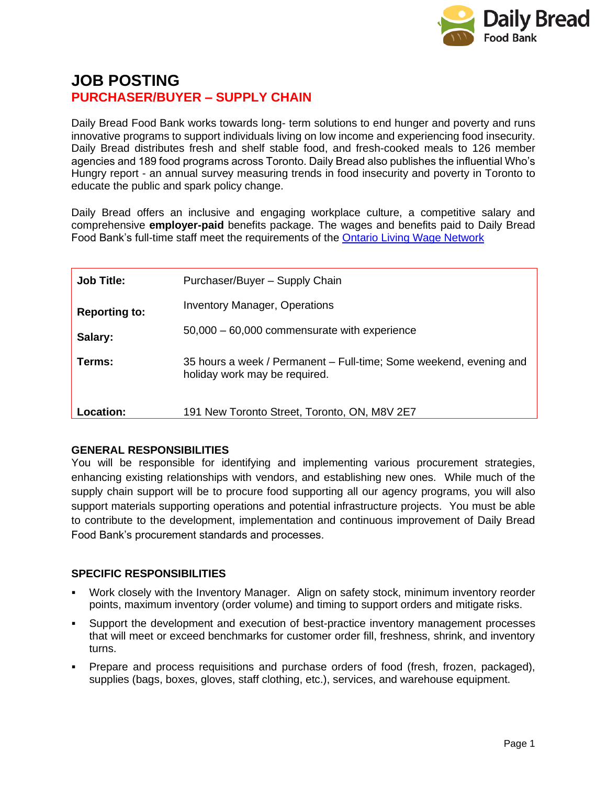

# **JOB POSTING PURCHASER/BUYER – SUPPLY CHAIN**

Daily Bread Food Bank works towards long- term solutions to end hunger and poverty and runs innovative programs to support individuals living on low income and experiencing food insecurity. Daily Bread distributes fresh and shelf stable food, and fresh-cooked meals to 126 member agencies and 189 food programs across Toronto. Daily Bread also publishes the influential Who's Hungry report - an annual survey measuring trends in food insecurity and poverty in Toronto to educate the public and spark policy change.

Daily Bread offers an inclusive and engaging workplace culture, a competitive salary and comprehensive **employer-paid** benefits package. The wages and benefits paid to Daily Bread Food Bank's full-time staff meet the requirements of the [Ontario Living Wage Network](https://www.ontariolivingwage.ca/what_is_the_living_wage)

| <b>Job Title:</b>    | Purchaser/Buyer - Supply Chain                                                                      |
|----------------------|-----------------------------------------------------------------------------------------------------|
| <b>Reporting to:</b> | <b>Inventory Manager, Operations</b>                                                                |
| Salary:              | $50,000 - 60,000$ commensurate with experience                                                      |
| Terms:               | 35 hours a week / Permanent – Full-time; Some weekend, evening and<br>holiday work may be required. |
| Location:            | 191 New Toronto Street, Toronto, ON, M8V 2E7                                                        |

# **GENERAL RESPONSIBILITIES**

You will be responsible for identifying and implementing various procurement strategies, enhancing existing relationships with vendors, and establishing new ones. While much of the supply chain support will be to procure food supporting all our agency programs, you will also support materials supporting operations and potential infrastructure projects. You must be able to contribute to the development, implementation and continuous improvement of Daily Bread Food Bank's procurement standards and processes.

# **SPECIFIC RESPONSIBILITIES**

- Work closely with the Inventory Manager. Align on safety stock, minimum inventory reorder points, maximum inventory (order volume) and timing to support orders and mitigate risks.
- Support the development and execution of best-practice inventory management processes that will meet or exceed benchmarks for customer order fill, freshness, shrink, and inventory turns.
- Prepare and process requisitions and purchase orders of food (fresh, frozen, packaged), supplies (bags, boxes, gloves, staff clothing, etc.), services, and warehouse equipment.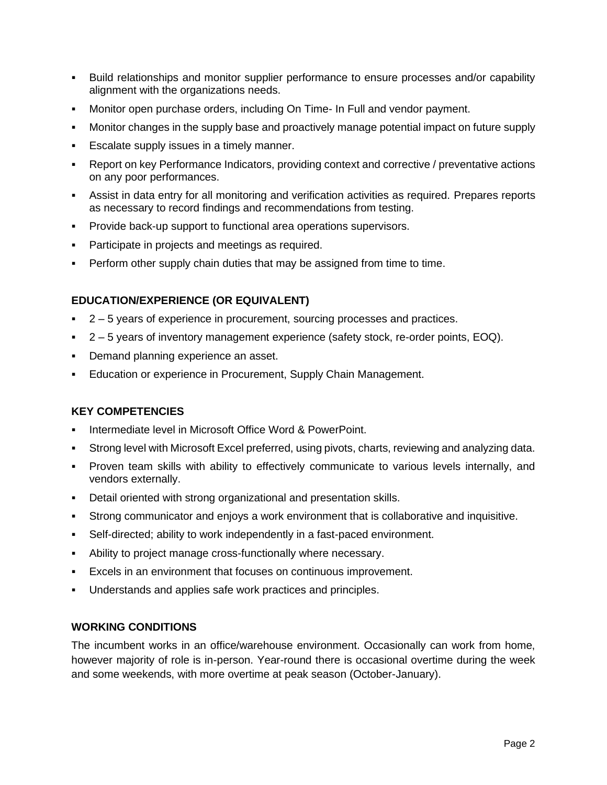- Build relationships and monitor supplier performance to ensure processes and/or capability alignment with the organizations needs.
- Monitor open purchase orders, including On Time- In Full and vendor payment.
- Monitor changes in the supply base and proactively manage potential impact on future supply
- Escalate supply issues in a timely manner.
- **Report on key Performance Indicators, providing context and corrective / preventative actions** on any poor performances.
- **EXECT** Assist in data entry for all monitoring and verification activities as required. Prepares reports as necessary to record findings and recommendations from testing.
- **Provide back-up support to functional area operations supervisors.**
- Participate in projects and meetings as required.
- **•** Perform other supply chain duties that may be assigned from time to time.

# **EDUCATION/EXPERIENCE (OR EQUIVALENT)**

- 2 5 years of experience in procurement, sourcing processes and practices.
- 2 5 years of inventory management experience (safety stock, re-order points, EOQ).
- Demand planning experience an asset.
- Education or experience in Procurement, Supply Chain Management.

# **KEY COMPETENCIES**

- Intermediate level in Microsoft Office Word & PowerPoint.
- Strong level with Microsoft Excel preferred, using pivots, charts, reviewing and analyzing data.
- Proven team skills with ability to effectively communicate to various levels internally, and vendors externally.
- Detail oriented with strong organizational and presentation skills.
- Strong communicator and enjoys a work environment that is collaborative and inquisitive.
- Self-directed; ability to work independently in a fast-paced environment.
- Ability to project manage cross-functionally where necessary.
- Excels in an environment that focuses on continuous improvement.
- Understands and applies safe work practices and principles.

#### **WORKING CONDITIONS**

The incumbent works in an office/warehouse environment. Occasionally can work from home, however majority of role is in-person. Year-round there is occasional overtime during the week and some weekends, with more overtime at peak season (October-January).